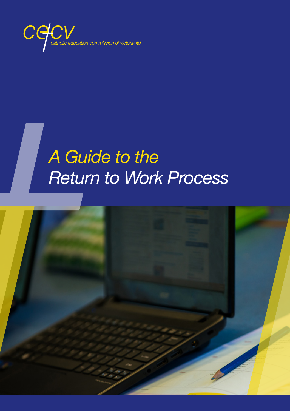

# *A Guide to the Return to Work Process*

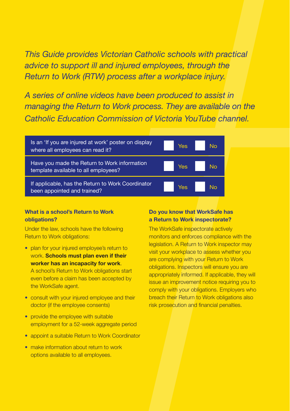*This Guide provides Victorian Catholic schools with practical advice to support ill and injured employees, through the Return to Work (RTW) process after a workplace injury.* 

*A series of online videos have been produced to assist in managing the Return to Work process. They are available on the Catholic Education Commission of Victoria YouTube channel.*



### **What is a school's Return to Work obligations?**

Under the law, schools have the following Return to Work obligations:

- plan for your injured employee's return to work. **Schools must plan even if their worker has an incapacity for work**. A school's Return to Work obligations start even before a claim has been accepted by the WorkSafe agent.
- consult with your injured employee and their doctor (if the employee consents)
- provide the employee with suitable employment for a 52-week aggregate period
- appoint a suitable Return to Work Coordinator
- make information about return to work options available to all employees.

### **Do you know that WorkSafe has a Return to Work inspectorate?**

The WorkSafe inspectorate actively monitors and enforces compliance with the legislation. A Return to Work inspector may visit your workplace to assess whether you are complying with your Return to Work obligations. Inspectors will ensure you are appropriately informed. If applicable, they will issue an improvement notice requiring you to comply with your obligations. Employers who breach their Return to Work obligations also risk prosecution and financial penalties.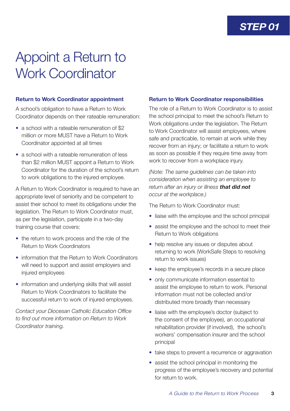## Appoint a Return to Work Coordinator

### **Return to Work Coordinator appointment**

A school's obligation to have a Return to Work Coordinator depends on their rateable remuneration:

- a school with a rateable remuneration of \$2 million or more MUST have a Return to Work Coordinator appointed at all times
- a school with a rateable remuneration of less than \$2 million MUST appoint a Return to Work Coordinator for the duration of the school's return to work obligations to the injured employee.

A Return to Work Coordinator is required to have an appropriate level of seniority and be competent to assist their school to meet its obligations under the legislation. The Return to Work Coordinator must, as per the legislation, participate in a two-day training course that covers:

- the return to work process and the role of the Return to Work Coordinators
- information that the Return to Work Coordinators will need to support and assist employers and injured employees
- information and underlying skills that will assist Return to Work Coordinators to facilitate the successful return to work of injured employees.

*Contact your Diocesan Catholic Education Office to find out more information on Return to Work Coordinator training.*

### **Return to Work Coordinator responsibilities**

The role of a Return to Work Coordinator is to assist the school principal to meet the school's Return to Work obligations under the legislation. The Return to Work Coordinator will assist employees, where safe and practicable, to remain at work while they recover from an injury; or facilitate a return to work as soon as possible if they require time away from work to recover from a workplace injury.

*(Note: The same guidelines can be taken into consideration when assisting an employee to return after an injury or illness that did not occur at the workplace.)* 

The Return to Work Coordinator must:

- liaise with the employee and the school principal
- assist the employee and the school to meet their Return to Work obligations
- help resolve any issues or disputes about returning to work (WorkSafe Steps to resolving return to work issues)
- keep the employee's records in a secure place
- only communicate information essential to assist the employee to return to work. Personal information must not be collected and/or distributed more broadly than necessary
- liaise with the employee's doctor (subject to the consent of the employee), an occupational rehabilitation provider (if involved), the school's workers' compensation insurer and the school principal
- take steps to prevent a recurrence or aggravation
- assist the school principal in monitoring the progress of the employee's recovery and potential for return to work.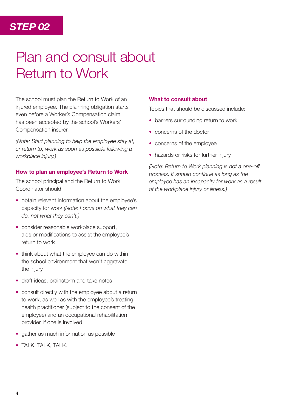### *STEP 02*

## Plan and consult about Return to Work

The school must plan the Return to Work of an injured employee. The planning obligation starts even before a Worker's Compensation claim has been accepted by the school's Workers' Compensation insurer.

*(Note: Start planning to help the employee stay at, or return to, work as soon as possible following a workplace injury.)* 

### **How to plan an employee's Return to Work**

The school principal and the Return to Work Coordinator should:

- obtain relevant information about the employee's capacity for work *(Note: Focus on what they can do, not what they can't.)*
- consider reasonable workplace support, aids or modifications to assist the employee's return to work
- think about what the employee can do within the school environment that won't aggravate the injury
- draft ideas, brainstorm and take notes
- consult directly with the employee about a return to work, as well as with the employee's treating health practitioner (subject to the consent of the employee) and an occupational rehabilitation provider, if one is involved.
- gather as much information as possible
- TALK, TALK, TALK.

#### **What to consult about**

Topics that should be discussed include:

- barriers surrounding return to work
- concerns of the doctor
- concerns of the employee
- hazards or risks for further injury.

*(Note: Return to Work planning is not a one-off process. It should continue as long as the employee has an incapacity for work as a result of the workplace injury or illness.)*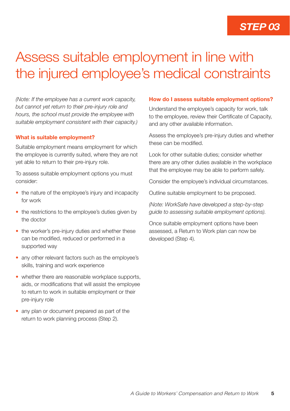### *STEP 03*

## Assess suitable employment in line with the injured employee's medical constraints

*(Note: If the employee has a current work capacity, but cannot yet return to their pre-injury role and hours, the school must provide the employee with suitable employment consistent with their capacity.)*

### **What is suitable employment?**

Suitable employment means employment for which the employee is currently suited, where they are not yet able to return to their pre-injury role.

To assess suitable employment options you must consider:

- the nature of the employee's injury and incapacity for work
- the restrictions to the employee's duties given by the doctor
- the worker's pre-injury duties and whether these can be modified, reduced or performed in a supported way
- any other relevant factors such as the employee's skills, training and work experience
- whether there are reasonable workplace supports, aids, or modifications that will assist the employee to return to work in suitable employment or their pre-injury role
- any plan or document prepared as part of the return to work planning process (Step 2).

#### **How do I assess suitable employment options?**

Understand the employee's capacity for work, talk to the employee, review their Certificate of Capacity, and any other available information.

Assess the employee's pre-injury duties and whether these can be modified.

Look for other suitable duties; consider whether there are any other duties available in the workplace that the employee may be able to perform safely.

Consider the employee's individual circumstances.

Outline suitable employment to be proposed.

*(Note: WorkSafe have developed a step-by-step guide to assessing suitable employment options).* 

Once suitable employment options have been assessed, a Return to Work plan can now be developed (Step 4).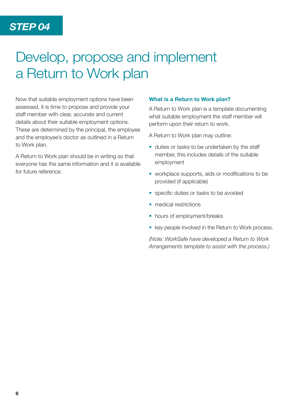## Develop, propose and implement a Return to Work plan

Now that suitable employment options have been assessed, it is time to propose and provide your staff member with clear, accurate and current details about their suitable employment options. These are determined by the principal, the employee and the employee's doctor as outlined in a Return to Work plan.

A Return to Work plan should be in writing so that everyone has the same information and it is available for future reference.

### **What is a Return to Work plan?**

A Return to Work plan is a template documenting what suitable employment the staff member will perform upon their return to work.

A Return to Work plan may outline:

- duties or tasks to be undertaken by the staff member, this includes details of the suitable employment
- workplace supports, aids or modifications to be provided (if applicable)
- specific duties or tasks to be avoided
- medical restrictions
- hours of employment/breaks
- key people involved in the Return to Work process.

*(Note: WorkSafe have developed a Return to Work Arrangements template to assist with the process.)*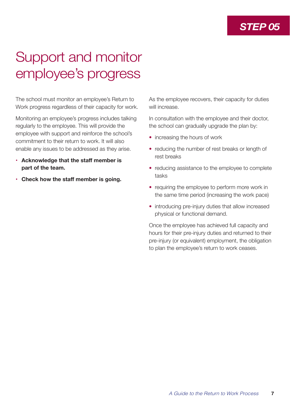### *STEP 05*

## Support and monitor employee's progress

The school must monitor an employee's Return to Work progress regardless of their capacity for work.

Monitoring an employee's progress includes talking regularly to the employee. This will provide the employee with support and reinforce the school's commitment to their return to work. It will also enable any issues to be addressed as they arise.

- **• Acknowledge that the staff member is part of the team.**
- **• Check how the staff member is going.**

As the employee recovers, their capacity for duties will increase.

In consultation with the employee and their doctor, the school can gradually upgrade the plan by:

- increasing the hours of work
- reducing the number of rest breaks or length of rest breaks
- reducing assistance to the employee to complete tasks
- requiring the employee to perform more work in the same time period (increasing the work pace)
- introducing pre-injury duties that allow increased physical or functional demand.

Once the employee has achieved full capacity and hours for their pre-injury duties and returned to their pre-injury (or equivalent) employment, the obligation to plan the employee's return to work ceases.